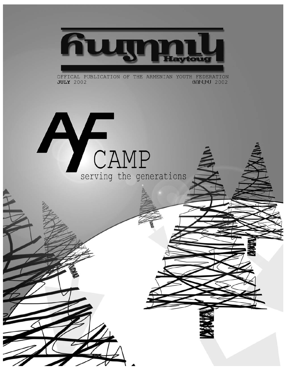

OFFICAL PUBLICATION OF THE ARMENIAN YOUTH FEDERATION **3NNLhU 2002 JULY** 2002

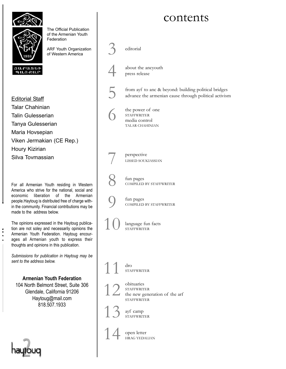### contents



The Official Publication of the Armenian Youth Federation

ARF Youth Organization of Western America



Editorial Staff Talar Chahinian Talin Gulesserian Tanya Gulesserian Maria Hovsepian Viken Jermakian (CE Rep.) Houry Kizirian Silva Tovmassian

For all Armenian Youth residing in Western America who strive for the national, social and economic liberation of the Armenian people.Haytoug is distributed free of charge within the community. Financial contributions may be made to the address below.

The opinions expressed in the Haytoug publication are not soley and necessarily opinions the Armenian Youth Federation. Haytoug encourages all Armenian youth to express their thoughts and opinions in this publication.

*Submissions for publication in Haytoug may be sent to the address below.*

**Armenian Youth Federation** 104 North Belmont Street, Suite 306 Glendale, California 91206 Haytoug@mail.com 818.507.1933



editorial



about the ancyouth press release

5

from ayf to anc & beyond: building political bridges advance the armenian cause through political activism



6 7 8 9 10 11 12 13 the power of one STAFFWRITER media control TALAR CHAHINIAN fun pages COMPILED BY STAFFWRITER perspective LISSED SOUKIASSIAN fun pages COMPILED BY STAFFWRITER language fun facts STAFFWRITER dro **STAFFWRITER** obituaries **STAFFWRITER** the new generation of the arf **STAFFWRITER** ayf camp STAFFWRITER

14 open letter HRAG YEDALIAN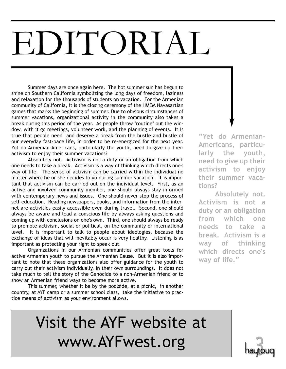# EDITORIAL

Summer days are once again here. The hot summer sun has begun to shine on Southern California symbolizing the long days of freedom, laziness and relaxation for the thousands of students on vacation. For the Armenian community of California, it is the closing ceremony of the HMEM Navasartian games that marks the beginning of summer. Due to obvious circumstances of summer vacations, organizational activity in the community also takes a break during this period of the year. As people throw "routine" out the window, with it go meetings, volunteer work, and the planning of events. It is true that people need and deserve a break from the hustle and bustle of our everyday fast-pace life, in order to be re-energized for the next year. Yet do Armenian-Americans, particularly the youth, need to give up their activism to enjoy their summer vacations?

Absolutely not. Activism is not a duty or an obligation from which one needs to take a break. Activism is a way of thinking which directs one's way of life. The sense of activism can be carried within the individual no matter where he or she decides to go during summer vacation. It is important that activism can be carried out on the individual level. First, as an active and involved community member, one should always stay informed with contemporary news and issues. One should never stop the process of self-education. Reading newspapers, books, and information from the internet are activities easily accessible even during travel. Second, one should always be aware and lead a conscious life by always asking questions and coming up with conclusions on one's own. Third, one should always be ready to promote activism, social or political, on the community or international level. It is important to talk to people about ideologies, because the exchange of ideas that will inevitably occur is very healthy. Listening is as important as protecting your right to speak out.

Organizations in our Armenian communities offer great tools for active Armenian youth to pursue the Armenian Cause. But it is also important to note that these organizations also offer guidance for the youth to carry out their activism individually, in their own surroundings. It does not take much to tell the story of the Genocide to a non-Armenian friend or to show an Armenian friend ways to become more active.

This summer, whether it be by the poolside, at a picnic, in another country, at AYF camp or a summer school class, take the initiative to practice means of activism as your environment allows.

**"Yet do Armenian-Americans, particularly the youth, need to give up their activism to enjoy their summer vacations?**

**Absolutely not. Activism is not a duty or an obligation from which one needs to take a break. Activism is a way of thinking which directs one's way of life."**

## Visit the AYF website at www.AYFwest.org

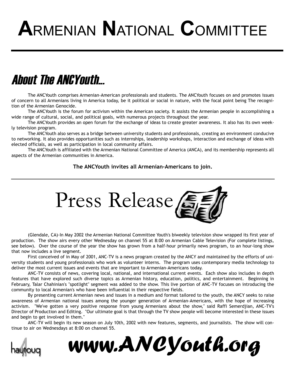# **A**RMENIAN **N**ATIONAL **C**OMMITTEE

## About The ANCYouth...

The ANCYouth comprises Armenian-American professionals and students. The ANCYouth focuses on and promotes issues of concern to all Armenians living in America today, be it political or social in nature, with the focal point being The recognition of the Armenian Genocide.

The ANCYouth is the forum for activism within the American society. It assists the Armenian people in accomplishing a wide range of cultural, social, and political goals, with numerous projects throughout the year.

The ANCYouth provides an open forum for the exchange of ideas to create greater awareness. It also has its own weekly television program.

The ANCYouth also serves as a bridge between university students and professionals, creating an environment conducive to networking. It also provides opportunities such as internships, leadership workshops, interaction and exchange of ideas with elected officials, as well as participation in local community affairs.

The ANCYouth is affiliated with the Armenian National Committee of America (ANCA), and its membership represents all aspects of the Armenian communities in America.

**The ANCYouth invites all Armenian-Americans to join.**



(Glendale, CA)-In May 2002 the Armenian National Committee Youth's biweekly television show wrapped its first year of production. The show airs every other Wednesday on channel 55 at 8:00 on Armenian Cable Television (For complete listings, see below). Over the course of the year the show has grown from a half-hour primarily news program, to an hour-long show that now includes a live segment.

First conceived of in May of 2001, ANC-TV is a news program created by the ANCY and maintained by the efforts of university students and young professionals who work as volunteer interns. The program uses contemporary media technology to deliver the most current issues and events that are important to Armenian-Americans today.

ANC-TV consists of news, covering local, national, and international current events. Each show also includes in depth features that have explored such diverse topics as Armenian history, education, politics, and entertainment. Beginning in February, Talar Chahinian's "spotlight" segment was added to the show. This live portion of ANC-TV focuses on introducing the community to local Armenian's who have been influential in their respective fields.

By presenting current Armenian news and issues in a medium and format tailored to the youth, the ANCY seeks to raise awareness of Armenian national issues among the younger generation of Armenian-Americans, with the hope of increasing activism. "We've gotten a very positive response from young Armenians about the show," said Raffi Semerdjian, ANC-TV's Director of Production and Editing. "Our ultimate goal is that through the TV show people will become interested in these issues and begin to get involved in them."

ANC-TV will begin its new season on July 10th, 2002 with new features, segments, and journalists. The show will continue to air on Wednesdays at 8:00 on channel 55.



*www.ANCYouth.org*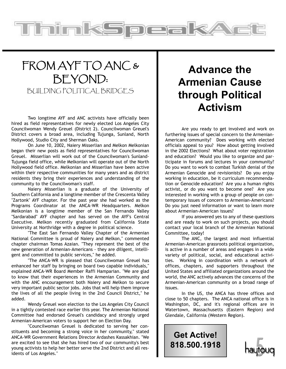### FROM AYF TO ANC & BEYOND: BUILDING POLITICAL BRIDGES

ThimkSt

Two longtime AYF and ANC activists have officially been hired as field representatives for newly elected Los Angeles City Councilwoman Wendy Greuel (District 2). Councilwoman Greuel's District covers a broad area, including Tujunga, Sunland, North Hollywood, Studio City and Sherman Oaks.

On June 10, 2002, Naiery Misserlian and Melkon Melkonian began their new posts as field representatives for Councilwoman Greuel. Misserlian will work out of the Councilwoman's Sunland-Tujunga field office, while Melkonian will operate out of the North Hollywood field office. Melkonian and Misserlian have been active within their respective communities for many years and as district residents they bring their experiences and understanding of the community to the Councilwoman's staff.

Naiery Misserlian is a graduate of the University of Southern California and a longtime member of the Crescenta Valley "Zartonk" AYF chapter. For the past year she had worked as the Programs Coordinator at the ANCA-WR Headquarters. Melkon Melkonian is a longtime member of the San Fernando Valley "Sardarabad" AYF chapter and has served on the AYF's Central Executive. Melkon recently graduated from California State University at Northridge with a degree in political science.

"The East San Fernando Valley Chapter of the Armenian National Committee is proud of Naiery and Melkon," commented chapter chairman Tomas Azaian. "They represent the best of the new generation of Armenian-Americans - they are diligent, intelligent and committed to public services," he added.

"The ANCA-WR is pleased that Councilwoman Greuel has enhanced her staff by bringing on board two capable individuals," explained ANCA-WR Board Member Raffi Hamparian. "We are glad to know that their experiences in the Armenian Community and with the ANC encouragement both Naiery and Melkon to secure very important public sector jobs. Jobs that will help them improve the lives of all the people living in the 2nd Council District," he added.

Wendy Greuel won election to the Los Angeles City Council in a tightly contested race earlier this year. The Armenian National Committee had endorsed Greuel's candidacy and strongly urged Armenian-American voters to support her on Election Day.

"Councilwoman Greuel is dedicated to serving her constituents and becoming a strong voice in her community," stated ANCA-WR Government Relations Director Ardashes Kassakhian. "We are excited to see that she has hired two of our community's best young activists to help her better serve the 2nd District and all residents of Los Angeles."

### **Advance the Armenian Cause through Political Activism**

orea

Are you ready to get involved and work on furthering issues of special concern to the Armenian-American community? Does working with elected officials appeal to you? How about getting involved in the 2002 Elections? What about voter registration and education? Would you like to organize and participate in forums and lectures in your community? Do you want to work to combat Turkish denial of the Armenian Genocide and revisionists? Do you enjoy working in education, be it curriculum recommendation or Genocide education? Are you a human rights activist, or do you want to become one? Are you interested in working with a group of people on contemporary issues of concern to Armenian-Americans? Do you just need information or want to learn more about Armenian-American issues?

If you answered yes to any of these questions and are ready to work on such projects, you should contact your local branch of the Armenian National Committee, today!

The ANC, the largest and most influential Armenian-American grassroots political organization, is active in a number of areas and engages in a wide variety of political, social, and educational activities. Working in coordination with a network of offices, chapters, and supporters throughout the United States and affiliated organizations around the world, the ANC actively advances the concerns of the Armenian-American community on a broad range of issues.

In the US, the ANCA has three offices and close to 50 chapters. The ANCA national office is in Washington, DC, and it's regional offices are in Watertown, Massachusetts (Eastern Region) and Glendale, California (Western Region).

**Get Active! 818.500.1918**

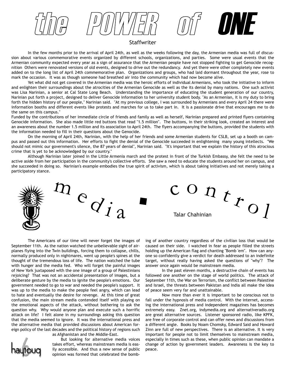the Power of Power of ONE

#### **Staffwriter**

In the few months prior to the arrival of April 24th, as well as the weeks following the day, the Armenian media was full of discussion about various commemorative events organized by different schools, organizations, and parties. Some were usual events that the Armenian community expected every year as a sign of assurance that the Armenian people have not stopped fighting to get Genocide recognition Others were renovated versions of old events, designed to drive out the redundancy. And yet there were other completely new events added on to the long list of April 24th commemorative plan. Organizations and groups, who had laid dormant throughout the year, rose to mark the occasion. It was as though someone had breathed air into the community which had now become alive.

Yet what did not get covered in the Armenian media was the heroic efforts of individual Armenians, who took the initiative to inform and enlighten their surroundings about the atrocities of the Armenian Genocide as well as the its denial by many nations. One such activist was Lisa Narinian, a senior at Cal State Long Beach. Understanding the importance of educating the student generation of our country, Narinian put forth a project, designed to deliver Genocide information to her university student body. "As an Armenian, it is my duty to bring forth the hidden history of our people," Narinian said. "At my previous college, I was surrounded by Armenians and every April 24 there were information booths and different events like protests and marches for us to take part in. It is a passionate drive that encourages me to do the same on this campus."

Funded by the contributions of her immediate circle of friends and family as well as herself, Narinian prepared and printed flyers containing Genocide information. She also made little red buttons that read "1.5 million". The buttons, in their striking look, created an interest and an awareness about the number 1.5 million and its association to April 24th. The flyers accompanying the buttons, provided the students with the information needed to fill in their questions about the Genocide.

On the morning of April 24th, Narinian, with the help of her friends and some Armenian students for CSLB, set up a booth on campus and passed out this information. Her efforts to fight the denial of the Genocide succeeded in enlightening many young intellects. "We should not mimic our government's silence, the 87 years of denial", Narinian said. "It's important that we explain the history of this atrocious crime that is yet to be acknowledged by our country."

Although Narinian later joined in the Little Armenia march and the protest in front of the Turkish Embassy, she felt the need to be active aside from her participation in the community's collective efforts. She saw a need to educate the students around her on campus, and she succeeded in doing so. Narinian's example embodies the true spirit of activism, which is about taking initiatives and not merely taking a participatory stance.



The Americans of our time will never forget the images of September 11th. As the nation watched the unbelievable sight of airplanes flying into the Twin buildings, forcing them to collapse, chills, normally produced only in nightmares, went up people's spines at the thought of the tremendous loss of life. The nation watched the tube with hunger and the media fed. Who will forget the painful images of New York juxtaposed with the one image of a group of Palestinians rejoicing? That was not an accidental presentation of images, but a deliberate gesture by the media to ignite the people's emotions. Our government needed to go to war and needed the people's support. It was up to the media to make the people feel angry, which can lead to hate and eventually the desire for revenge. At this time of great confusion, the main stream media contended itself with playing on the emotional aspects of the attack, without bothering to ask the question why. Why would anyone plan and execute such a horrific attack on life? I felt alone in my surroundings asking this question that the media seemed to ignore. It was the international press and the alternative media that provided discussions about American foreign policy of the last decades and the political history of regions such



as Afghanistan and the Middle-East.

But looking for alternative media voices takes effort, whereas mainstream media is easily accessible. And thus a new sense of public opinion was formed that celebrated the bombing of another country regardless of the civilian loss that would be caused on their side. I watched in fear as people filled the streets holding up the American flag and chanting "Bomb 'em". How can anyone so confidently give a verdict for death addressed to an indefinite target, without really having asked the questions of "why"? The answer once again would be mainstream media.

In the past eleven months, a destructive chain of events has followed one another on the stage of world politics. The attack of September 11th, the War on Terrorism, the conflict between Palestine and Israel, the threats between Pakistan and India all make the idea of peace seem very far and unattainable.

Now more than ever it is important to be conscious not to fall under the hypnosis of media control. With the internet, accessing the international press and independent magazines has becomes extremely easy. Znet.org, indymedia.org and alternativeradio.org are great alternative sources. Listener sponsored radio, like KPFK, are free of corporate control and can offer news and discussions from a different angle. Books by Noam Chomsky, Edward Said and Howard Zinn are full of new perspectives. There is an alternative. It is very important for people not to limit themselves to mainstream media, especially in times such as these, when public opinion can mandate a change of action by government leaders. Awareness is the key to peace.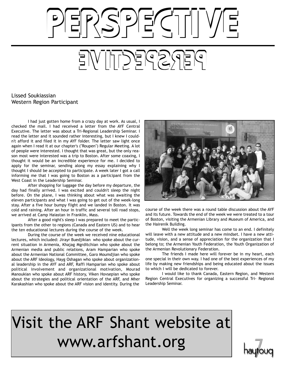# PSPECTIVI PERSPECTIVE

#### Lissed Soukiassian Western Region Participant

I had just gotten home from a crazy day at work. As usual, I checked the mail. I had received a letter from the AYF Central Executive. The letter was about a Tri-Regional Leadership Seminar. I read the letter and it sounded rather interesting, but I knew I couldn't afford it and filed it in my AYF folder. The letter saw light once again when I read it at our chapter's ("Roupen") Regular Meeting. A lot of people were interested. I thought that was great, but the only reason most were interested was a trip to Boston. After some coaxing, I thought it would be an incredible experience for me. I decided to apply for the seminar, sending along my essay explaining why I thought I should be accepted to participate. A week later I got a call informing me that I was going to Boston as a participant from the West Coast in the Leadership Seminar.

After shopping for luggage the day before my departure, the day had finally arrived. I was excited and couldn't sleep the night before. On the plane, I was thinking about what was awaiting the eleven participants and what I was going to get out of the week-long stay. After a five hour bumpy flight and we landed in Boston. It was cold and raining. After an hour in traffic and several toll road stops, we arrived at Camp Haiastan in Franklin, Mass.

After a good night's sleep I was prepared to meet the participants from the other to regions (Canada and Eastern US) and to hear the ten educational lectures during the course of the week.

During the course of the week we received nine educational lectures, which included: Jirayr Buedjikian who spoke about the current situation in Armenia, Khajag Mgrditchian who spoke about the Armenian media and public relations, Aram Hamparian who spoke about the Armenian National Committee, Garo Moumdjian who spoke about the ARF Ideology, Hayg Oshagan who spoke about organizational leadership in the AYF and ARF, Raffi Hamparian who spoke about political involvement and organizational motivation, Mourad Manoukian who spoke about ARF history, Viken Hovsepian who spoke about the strategies and political orientation of the ARF, and Mher Karakashian who spoke about the ARF vision and identity. During the



course of the week there was a round table discussion about the AYF and its future. Towards the end of the week we were treated to a tour of Boston, visiting the Armenian Library and Museum of America, and the Hairenik Building.

Well the week long seminar has come to an end. I definitely will leave with a new attitude and a new mindset. I have a new attitude, vision, and a sense of appreciation for the organization that I belong to; the Armenian Youth Federation, the Youth Organization of the Armenian Revolutionary Federation.

The friends I made here will forever be in my heart, each one special in their own way. I had one of the best experiences of my life by making new friendships and being educated about the issues to which I will be dedicated to forever.

I would like to thank Canada, Eastern Region, and Western Region Central Executives for organizing a successful Tri- Regional Leadership Seminar.

## Visit the ARF Shant website at www.arfshant.org

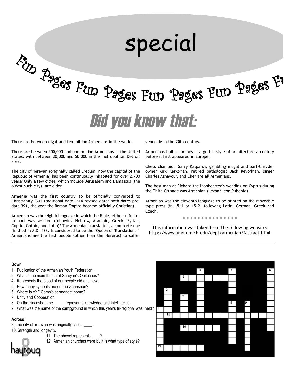# <sup>F</sup>u<sup>n</sup> <sup>P</sup><sup>a</sup>g<sup>e</sup><sup>s</sup> <sup>F</sup>u<sup>n</sup> <sup>P</sup>age<sup>s</sup> <sup>F</sup>u<sup>n</sup> <sup>P</sup>age<sup>s</sup> <sup>F</sup>u<sup>n</sup> <sup>P</sup>age<sup>s</sup> <sup>F</sup><sup>u</sup> special Did you know that:

There are between eight and ten million Armenians in the world.

There are between 500,000 and one million Armenians in the United States, with between 30,000 and 50,000 in the metropolitan Detroit area.

The city of Yerevan (originally called Erebuni, now the capital of the Republic of Armenia) has been continuously inhabited for over 2,700 years? Only a few cities, which include Jerusalem and Damascus (the oldest such city), are older.

Armenia was the first country to be officially converted to Christianity (301 traditional date, 314 revised date: both dates predate 391, the year the Roman Empire became officially Christian).

Armenian was the eighth language in which the Bible, either in full or in part was written (following Hebrew, Aramaic, Greek, Syriac, Coptic, Gothic, and Latin)? The Armenian translation, a complete one finished in A.D. 433, is considered to be the "Queen of Translations." Armenians are the first people (other than the Hereros) to suffer genocide in the 20th century.

Armenians built churches in a gothic style of architecture a century before it first appeared in Europe.

Chess champion Garry Kasparov, gambling mogul and part-Chrysler owner Kirk Kerkorian, retired pathologist Jack Kevorkian, singer Charles Aznavour, and Cher are all Armenians.

The best man at Richard the Lionhearted's wedding on Cyprus during the Third Crusade was Armenian (Levon/Leon Rubenid).

Armenian was the eleventh language to be printed on the moveable type press (in 1511 or 1512, following Latin, German, Greek and Czech.

. . . . . . . . . . . . . . .

This information was taken from the following website: http://www.umd.umich.edu/dept/armenian/fastfact.html

#### **Down**

- 1. Publication of the Armenian Youth Federation.
- 2. What is the main theme of Saroyan's Obituaries?
- 4. Represents the blood of our people old and new.
- 5. How many symbols are on the zinanshan?
- 6. Where is AYF Camp's permanent home?
- 7. Unity and Cooperation
- 8. On the zinanshan the represents knowledge and intelligence.
- 9. What was the name of the campground in which this year's tri-regional was held?  $\boxed{1}$

#### **Across**

- 3. The city of Yerevan was originally called \_\_\_\_.
- 10. Strength and longevity.
	- 11. The shovel represents \_\_\_\_?
	- 12. Armenian churches were built is what type of style?



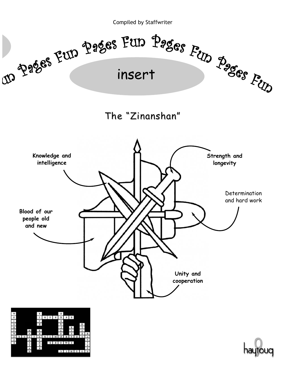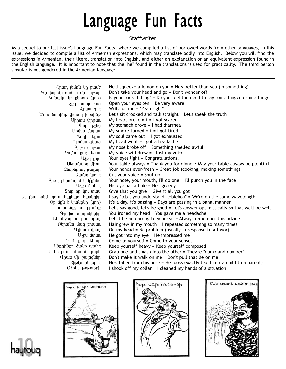## Language Fun Facts

#### Staffwriter

As a sequel to our last issue's Language Fun Facts, where we compiled a list of borrowed words from other languages, in this issue, we decided to compile a list of Armenian expressions, which may translate oddly into English. Below you will find the expressions in Armenian, their literal translation into English, and either an explanation or an equivalent expression found in the English language. It is important to note that the "he" found in the translations is used for practicality. The third person singular is not gendered in the Armenian language.

| Գյուխդ մի առնէր մի երթար<br>Կռնակդ կը քերուի (կոր)<br>U2pn www.pwg<br>Unuu qnt<br>Ծուռ նստինք շիտակ խօսինք<br>Uhnuu uhnpuu<br>$\Phi$ npu p $2$ tg<br>Unibu uwnui<br><b>Snghu tijuit</b><br>Գլուխս գնաց<br>Phpu thppull<br>Quyuu puznıtgun<br>U <sub>2</sub> p <sub>n</sub> <sub>I</sub> nju<br>Մեղաննիդ միշտ<br>Ձեռքերուդ թալար<br>2wjun yunk<br>Քիթդ բերանդ մէկ կինեմ<br>Աչքը ծակ է<br>Snip np yni inwu<br>Ես լեպ ըսեմ, դուն լեպլեպու հասկցիր<br>Օր մըն է կ՝անցնի (կոր)<br>Լաւ ըսենք, լաւ ըլլանք<br>Գլուխս արդուկեցիր<br>Ականջիդ օղ թող ըլլայ<br>Բերանս մազ բուսաւ<br>Գլխուս վրայ<br>U <sub>2</sub> pu d'unun<br>Դուն քեզի եկուր<br>Ինքզինքը ծանր պահէ<br>Մէկը բռնէ, միւսին զարկ<br>Վրաս մի քալեցներ | Is your back itching? = Do you feel the need to say something/do something?<br>Open your eyes ten = Be very aware<br>Write on me = "Yeah right"<br>Let's sit crooked and talk straight $=$ Let's speak the truth<br>My heart broke off $=$ I got scared<br>My stomach drove $=$ I had diarrhea<br>My smoke turned off $=$ I got tired<br>My soul came out $=$ I got exhausted<br>My head went = $\frac{1}{2}$ got a headache<br>My nose broke off = Something smelled awful<br>My voice withdrew $=$ I lost my voice<br>Your eyes light = Congratulations!<br>Your table always = Thank you for dinner/ May your table always be plentiful<br>Your hands ever-fresh = Great job (cooking, making something)<br>Cut your voice = Shut up<br>Your nose, your mouth, I'll do one = I'll punch you in the face<br>His eye has a hole = He's greedy<br>Give that you give $=$ Give it all you got<br>I say "leb", you understand "leblebou" = We're on the same wavelength<br>It's a day, it's passing = Days are passing in a banal manner<br>Let's say good, let's be good = Let's answer optimistically so that we'll be well<br>You ironed my head = You gave me a headache<br>Let it be an earring to your ear $=$ Always remember this advice<br>Hair grew in my mouth $= 1$ repeated something so many times<br>On my head = No problem (usually in response to a favor)<br>He got into my eye = He impressed me<br>Come to yourself $=$ Come to your senses<br>Keep yourself heavy = Keep yourself composed<br>Grab one and smash into the other = They're "dumb and dumber"<br>Don't make it walk on me = Don't pull that lie on me |
|-------------------------------------------------------------------------------------------------------------------------------------------------------------------------------------------------------------------------------------------------------------------------------------------------------------------------------------------------------------------------------------------------------------------------------------------------------------------------------------------------------------------------------------------------------------------------------------------------------------------------------------------------------------------------------------------------------|-----------------------------------------------------------------------------------------------------------------------------------------------------------------------------------------------------------------------------------------------------------------------------------------------------------------------------------------------------------------------------------------------------------------------------------------------------------------------------------------------------------------------------------------------------------------------------------------------------------------------------------------------------------------------------------------------------------------------------------------------------------------------------------------------------------------------------------------------------------------------------------------------------------------------------------------------------------------------------------------------------------------------------------------------------------------------------------------------------------------------------------------------------------------------------------------------------------------------------------------------------------------------------------------------------------------------------------------------------------------------------------------------------------------------------------------------------------------------------------------------------------------------------------------------------------------------------------------------------------------------------------------|
| Քիթէս ինկեր է                                                                                                                                                                                                                                                                                                                                                                                                                                                                                                                                                                                                                                                                                         | He's fallen from his nose = He looks exactly like him ( $a$ child to a parent)                                                                                                                                                                                                                                                                                                                                                                                                                                                                                                                                                                                                                                                                                                                                                                                                                                                                                                                                                                                                                                                                                                                                                                                                                                                                                                                                                                                                                                                                                                                                                          |
| Oshluu poportigh                                                                                                                                                                                                                                                                                                                                                                                                                                                                                                                                                                                                                                                                                      | I shook off my collar $= 1$ cleaned my hands of a situation                                                                                                                                                                                                                                                                                                                                                                                                                                                                                                                                                                                                                                                                                                                                                                                                                                                                                                                                                                                                                                                                                                                                                                                                                                                                                                                                                                                                                                                                                                                                                                             |





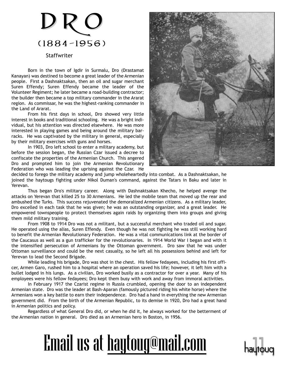## DRC (1884-1956)

#### **Staffwriter**

Born in the town of Igdir in Surmalu, Dro (Drastamat Kanayan) was destined to become a great leader of the Armenian people. First a Dashnaktsakan, then an oil and sugar merchant Suren Effendy; Suren Effendy became the leader of the Volunteer Regiment; he later became a road-building contractor; the builder then became a top military commander in the Ararat region. As commissar, he was the highest-ranking commander in the Land of Ararat.

From his first days in school, Dro showed very little interest in books and traditional schooling. He was a bright individual, but his attention was directed elsewhere. He was more interested in playing games and being around the military barracks. He was captivated by the military in general, especially by their military exercises with guns and horses.

In 1903, Dro left school to enter a military academy, but before the session began, the Russian Czar issued a decree to confiscate the properties of the Armenian Church. This angered Dro and prompted him to join the Armenian Revolutionary Federation who was leading the uprising against the Czar. He



decided to forego the military academy and jump wholeheartedly into combat. As a Dashnaktsakan, he joined the haytougs fighting under Nikol Duman's command, against the Tatars in Baku and later in Yerevan.

Thus began Dro's military career. Along with Dashnaktsakan Khecho, he helped avenge the attacks on Yerevan that killed 25 to 30 Armenians. He led the mobile team that moved up the rear and ambushed the Turks. This success rejuvenated the demoralized Armenian citizens. As a military leader, Dro excelled in each task that he was given; he was an outstanding organizer, and a great leader. He empowered townspeople to protect themselves again raids by organizing them into groups and giving them mild military training.

From 1908 to 1914 Dro was not a militant, but a successful merchant who traded oil and sugar. He operated using the alias, Suren Effendy. Even though he was not fighting he was still working hard to benefit the Armenian Revolutionary Federation. He was a vital communications link at the border of the Caucasus as well as a gun trafficker for the revolutionaries. In 1914 World War I began and with it the intensified persecution of Armenians by the Ottoman government. Dro saw that he was under Ottoman surveillance and could be the next casualty, so he left all his possessions behind and left for Yerevan to lead the Second Brigade.

While leading his brigade, Dro was shot in the chest. His fellow fedayees, including his first officer, Armen Garo, rushed him to a hospital where an operation saved his life; however, it left him with a bullet lodged in his lungs. As a civilian, Dro worked busily as a contractor for over a year. Many of his employees were his fellow fedayees; Dro kept them busy with work and away from immoral activities.

In February 1917 the Czarist regime in Russia crumbled, opening the door to an independent Armenian state. Dro was the leader at Bash-Aparan (famously pictured riding his white horse) where the Armenians won a key battle to earn their independence. Dro had a hand in everything the new Armenian government did. From the birth of the Armenian Republic, to its demise in 1920, Dro had a great hand in Armenian politics and policy.

Regardless of what General Dro did, or when he did it, he always worked for the betterment of the Armenian nation in general. Dro died as an Armenian hero in Boston, in 1956.



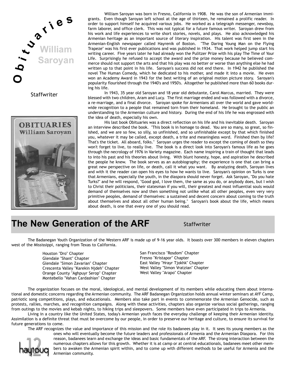

**Staffwriter** 



William Saroyan was born in Fresno, California in 1908. He was the son of Armenian immigrants. Even though Saroyan left school at the age of thirteen, he remained a prolific reader. In order to support himself he acquired various jobs. He worked as a telegraph messenger, newsboy, farm laborer, and office clerk. This was not typical for a future famous writer. Saroyan drew from his work and life experiences to write short stories, novels, and plays. He also acknowledged his Armenian heritage as an important source of literary inspiration. His talent was first seen in the Armenian-English newspaper called Hayrenik of Boston. "The Daring Young Man on the Flying Trapeze" was his first ever publications and was published in 1934. That work helped jump start his writing career. Five years later he had already won the Pulitzer Prize with his play The Time of Your Life. Surprisingly he refused to accept the award and the prize money because he believed commerce should not support the arts and that his play was no better or worse than anything else he had written up to that point in his life. Saroyan's success did not end there. In 1942 he published the novel The Human Comedy, which he dedicated to his mother, and made it into a movie. He even won an Academy Award in 1943 for the best writing of an original motion picture story. Saroyan's popularity flourished through the 1940's and 1950's. Altogether he published more than 60 books during his life.

In 1943, 35 year old Saroyan and 18 year old debutante, Carol Marcus, married. They were blessed with two children, Aram and Lucy. The first marriage ended and was followed with a divorce, a re-marriage, and a final divorce. Saroyan spoke for Armenians all over the world and gave worldwide recognition to a people that remained torn from their homeland. He brought to the public an understanding to the Armenian culture and history. During the end of his life he was engrossed with the idea of death, especially his own.

His last book Obituaries was a direct reflection on his life and his inevitable death. Saroyan an interview described the book. "This book is in homage to dead. You are so many, so great, so finished, and we are so few, so silly, so unfinished, and so unfinishable except by that which finished you, whatever it may be called, except death, a trite and meaningless word. Finished then by life? That's the ticket. All aboard, folks." Saroyan urges the reader to except the coming of death so they won't forget to live, to really live. The book is a direct look into Saroyan's famous life as he goes through the necrology of 1976 in Variety magazine. Each name inspiring a train of thought that leads to into his past and his theories about living. With blunt honesty, hope, and aspiration he described the people he knew. The book serves as an autobiography; the experience is one that can bring a great new perspective on life, or death, call it what you want. By analyzing death, Saroyan lives and with it the reader can open his eyes to how he wants to live. Saroyan's opinion on Turks is one that Armenians, especially the youth, in the diaspora should never forget. Ask Saroyan, "Do you hate Turks?" and he will respond, "Good god, I love them, the same as you do, or anybody does, but I wish to Christ their politicians, their statesman if you will, their greatest and most influential souls would demand of themselves now and then something not unlike what all other peoples, even very very primitive peoples, demand of themselves: a sustained and decent concern about coming to the truth about themselves and about all other human being." Saroyan's book about the life, which means about death, is one that every one of you should read.

### **The New Generation of the ARF** Staffwriter

The Badanegan Youth Organization of the Western ARF is made up of 9-16 year olds. It boasts over 300 members in eleven chapters west of the Mississippi, ranging from Texas to California.

> Houston "Dro" Chapter Glendale "Shant" Chapter Glendale "Simon Zavarian" Chapter Crescenta Valley "Karekin Njdeh" Chapter Orange County "Aghpuyr Serop" Chapter Montebello "Vahan Cardashian" Chapter

San Francisco "Rosdom" Chapter Fresno "Kristapor" Chapter East Valley "Hrayr Tjokhk" Chapter West Valley "Simon Vratzian" Chapter West Valley "Arapo" Chapter

The organization focuses on the moral, ideological, and mental development of its members while educating them about international and domestic concerns regarding the Armenian community. The ARF Badanegan Organization holds annual winter seminars at AYF Camp, patriotic song competitions, plays, and educationals. Members also take part in events to commemorate the Armenian Genocide, such as protests, rallies, marches, and recognition campaigns. Along with these activities, chapters also organize various social gatherings, ranging from outings to the movies and kebab nights, to hiking trips and sleepovers. Some members have even participated in trips to Armenia.

Living in a country like the United States, today's Armenian youth faces the everyday challenge of keeping their Armenian identity. Assimilation is a definite threat that must be overcome by our people, in order to preserve our heritage and culture, to ensure its survival for future generations to come.

The ARF recognizes the value and importance of this mission and the role its badanees play in it. It sees its young members as the



ones who will eventually become the future leaders and professionals of Armenia and the Armenian Diaspora. For this reason, badanees learn and exchange the ideas and basic fundamentals of the ARF. The strong interaction between the numerous chapters allows for this growth. Whether it is at camp or at central educationals, badanees meet other members to awaken the Armenian spirit within, and to come up with different methods to be useful for Armenia and the Armenian community.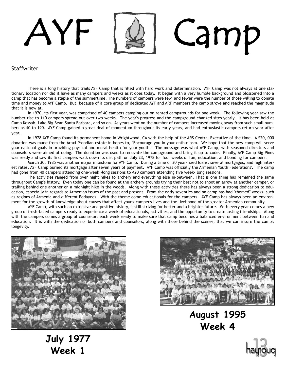# AYF | & | Camp

#### **Staffwriter**

There is a long history that trails AYF Camp that is filled with hard work and determination. AYF Camp was not always at one stationary location nor did it have as many campers and weeks as it does today. It began with a very humble background and blossomed into a camp that has become a staple of the summertime. The numbers of campers were few, and fewer were the number of those willing to donate time and money to AYF Camp. But, because of a core group of dedicated AYF and ARF members the camp strove and reached the magnitude that it is now at.

In 1970, its first year, was comprised of 40 campers camping out on rented campgrounds for one week. The following year saw the number rise to 110 campers spread out over two weeks. The year's progress and the campground changed sites yearly. It has been held at Camp Kessab, Lake Big Bear, Santa Barbara, and so on. As years went on the number of campers increased moving away from such small numbers as 40 to 190. AYF Camp gained a great deal of momentum throughout its early years, and had enthusiastic campers return year after year.

In 1978 AYF Camp found its permanent home in Wrightwood, CA with the help of the ARS Central Executive of the time. A \$20, 000 donation was made from the Araxi Proodian estate in hopes to, "Encourage you in your enthusiasm. We hope that the new camp will serve your national goals in providing physical and moral health for your youth." The message was what AYF Camp, with seasoned directors and counselors were aimed at doing. The donation was used to renovate the campground and bring it up to code. Finally, AYF Camp Big Pines was ready and saw its first campers walk down its dirt path on July 23, 1978 for four weeks of fun, education, and bonding for campers.

March 30, 1985 was another major milestone for AYF Camp. During a time of 30 year-fixed loans, several mortgages, and high interest rates, AYF Camp burned its mortgage after seven years of payment. AYF Camp was officially the Armenian Youth Federations'. The camp had gone from 40 campers attending one-week -long sessions to 420 campers attending five week- long sessions.

The activities ranged from over night hikes to archery and everything else in-between. That is one thing has remained the same throughout Camp's history. Even today one can be found at the archery grounds trying their best not to shoot an arrow at another camper, or trailing behind one another on a midnight hike in the woods. Along with these activities there has always been a strong dedication to education, especially in regards to Armenian issues of the past and present. From the early seventies and on camp has had "themed" weeks, such as regions of Armenia and different Fedayees. With the theme come educationals for the campers. AYF Camp has always been an environment for the growth of knowledge about causes that affect young camper's lives and the livelihood of the greater Armenian community.

AYF Camp, with such an extensive and positive history, is still striving for better and a brighter future. With every year comes a new group of fresh-faced campers ready to experience a week of educationals, activities, and the opportunity to create lasting friendships. Along with the campers comes a group of counselors each week ready to make sure that camp becomes a balanced environment between fun and education. It is with the dedication or both campers and counselors, along with those behind the scenes, that we can insure the camp's longevity.



**July 1977 Week 1**



**August 1995 Week 4**

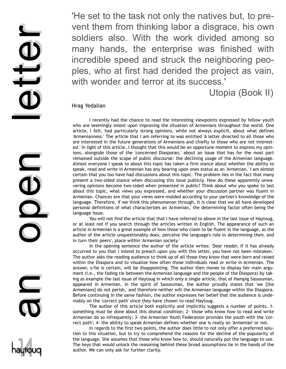'He set to the task not only the natives but, to prevent them from thinking labor a disgrace, his own soldiers also. With the work divided among so many hands, the enterprise was finished with incredible speed and struck the neighboring peoples, who at first had derided the project as vain, with wonder and terror at its success.'

Utopia (Book II)

I recently had the chance to read the interesting viewpoints expressed by fellow youth who are seemingly intent upon improving the situation of Armenians throughout the world. One article, I felt, had particularly strong opinions, while not always explicit, about what defines 'Armenianness.' The article that I am referring to was entitled 'A letter directed to all those who are interested in the future generations of Armenians and chiefly to those who are not interested.' In light of this article, I thought that this would be an opportune moment to express my opinions, alongside those of the 'concerned Diasporan,' about an issue that has for the most part remained outside the scope of public discourse: the declining usage of the Armenian language. Almost everyone I speak to about this topic has taken a firm stance about whether the ability to speak, read and write in Armenian has any bearing upon ones status as an 'Armenian.' I am almost certain that you too have had discussions about this topic. The problem lies in the fact that many present a two-sided stance when discussing this issue publicly. How do these apparently unwavering opinions become two-sided when presented in public? Think about who you spoke to last about this topic, what views you expressed, and whether your discussion partner was fluent in Armenian. Chances are that your views were molded according to your partner's knowledge of the language. Therefore, if we think this phenomenon through, it is clear that we all have developed personal definitions of what characterizes an 'Armenian,' the determining factor often being the language issue.

You will not find the article that that I have referred to above in the last issue of Haytoug, or at least not if you search through the articles written in English. The appearance of such an article in Armenian is a great example of how those who claim to be fluent in the language, as the author of the article unquestionably does, perceive the language's role in determining their, and in turn their peers', place within 'Armenian society.'

In the opening sentence the author of the article writes: 'Dear reader, If it has already occurred to you that I intend to preach upon you with this letter, you have not been mistaken.' The author asks the reading audience to think up of all those they know that were born and raised within the Diaspora and to visualize how often those individuals read or write in Armenian. The answer, s/he is certain, will be disappointing. The author then moves to display her main argument (i.e., the fading tie between the Armenian language and the people of the Diaspora) by taking as example the last issue of Haytoug in which only a single article, that of Hampig Sassounian, appeared in Armenian. In the spirit of Sassounian, the author proudly states that 'we [the Armenians] do not perish,' and therefore neither will the Armenian language within the Diaspora. Before continuing in the same fashion, the author expresses her belief that the audience is undeniably on the 'correct path' since they have chosen to read Haytoug.

The author of this article both explicitly and implicitly suggests a number of points. 1 something must be done about this dismal condition; 2- those who know how to read and write Armenian do so infrequently; 3- the Armenian Youth Federation provides the youth with the 'correct path'; 4- the ability to speak Armenian defines whether one is really an 'Armenian' or not.

In regards to the first two points, the author does little to not only offer a preferred solution to this situation, but to try to comprehend the reasons for the decline of the popularity of the language. She assumes that those who know how to, should naturally put the language to use. The keys that would unlock the reasoning behind these broad assumptions lie in the hands of the author. We can only ask for further clarity.

vent the<br>soldiers<br>many h<br>incredibl<br>ples, wh<br>with worrest many h<br>incredibl<br>ples, wh<br>with worrest incredible<br>ples, wh<br>with worrest management of the article of the article of the article of the angloge issue.<br>Almost everyon<br>